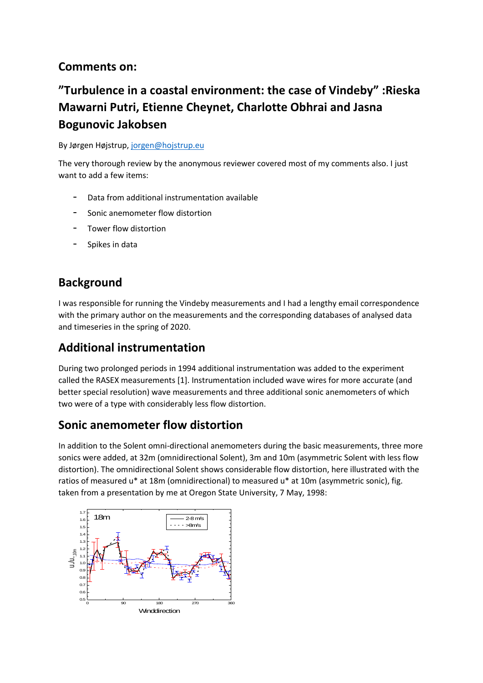# **Comments on:**

# **"Turbulence in a coastal environment: the case of Vindeby" :Rieska Mawarni Putri, Etienne Cheynet, Charlotte Obhrai and Jasna Bogunovic Jakobsen**

By Jørgen Højstrup[, jorgen@hojstrup.eu](mailto:jorgen@hojstrup.eu)

The very thorough review by the anonymous reviewer covered most of my comments also. I just want to add a few items:

- Data from additional instrumentation available
- Sonic anemometer flow distortion
- Tower flow distortion
- Spikes in data

# **Background**

I was responsible for running the Vindeby measurements and I had a lengthy email correspondence with the primary author on the measurements and the corresponding databases of analysed data and timeseries in the spring of 2020.

# **Additional instrumentation**

During two prolonged periods in 1994 additional instrumentation was added to the experiment called the RASEX measurements [1]. Instrumentation included wave wires for more accurate (and better special resolution) wave measurements and three additional sonic anemometers of which two were of a type with considerably less flow distortion.

#### **Sonic anemometer flow distortion**

In addition to the Solent omni-directional anemometers during the basic measurements, three more sonics were added, at 32m (omnidirectional Solent), 3m and 10m (asymmetric Solent with less flow distortion). The omnidirectional Solent shows considerable flow distortion, here illustrated with the ratios of measured u\* at 18m (omnidirectional) to measured u\* at 10m (asymmetric sonic), fig. taken from a presentation by me at Oregon State University, 7 May, 1998: